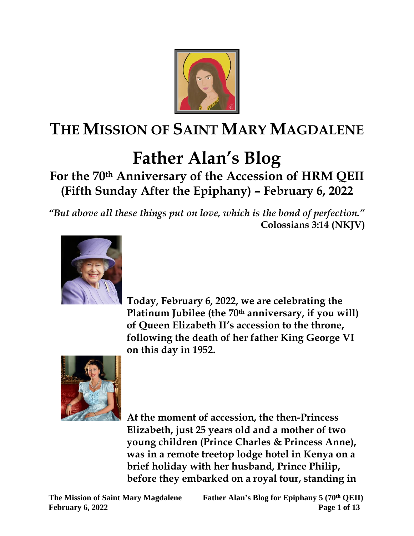

# **THE MISSION OF SAINT MARY MAGDALENE**

# **Father Alan's Blog**

**For the 70th Anniversary of the Accession of HRM QEII (Fifth Sunday After the Epiphany) – February 6, 2022**

*"But above all these things put on love, which is the bond of perfection."*  **Colossians 3:14 (NKJV)**



 **Today, February 6, 2022, we are celebrating the Platinum Jubilee (the 70th anniversary, if you will) of Queen Elizabeth II's accession to the throne, following the death of her father King George VI on this day in 1952.**



 **At the moment of accession, the then-Princess Elizabeth, just 25 years old and a mother of two young children (Prince Charles & Princess Anne), was in a remote treetop lodge hotel in Kenya on a brief holiday with her husband, Prince Philip, before they embarked on a royal tour, standing in** 

**The Mission of Saint Mary Magdalene Father Alan's Blog for Epiphany 5 (70th QEII) February 6, 2022** Page 1 of 13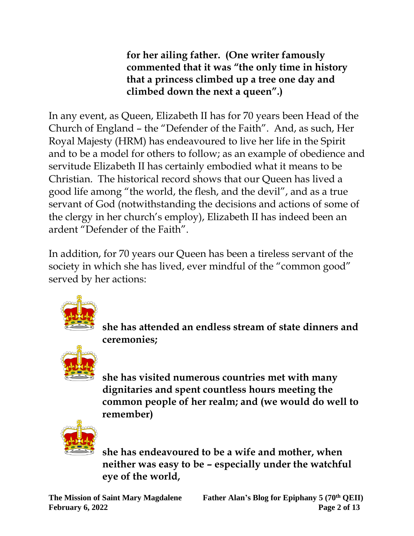**for her ailing father. (One writer famously commented that it was "the only time in history that a princess climbed up a tree one day and climbed down the next a queen".)**

In any event, as Queen, Elizabeth II has for 70 years been Head of the Church of England – the "Defender of the Faith". And, as such, Her Royal Majesty (HRM) has endeavoured to live her life in the Spirit and to be a model for others to follow; as an example of obedience and servitude Elizabeth II has certainly embodied what it means to be Christian. The historical record shows that our Queen has lived a good life among "the world, the flesh, and the devil", and as a true servant of God (notwithstanding the decisions and actions of some of the clergy in her church's employ), Elizabeth II has indeed been an ardent "Defender of the Faith".

In addition, for 70 years our Queen has been a tireless servant of the society in which she has lived, ever mindful of the "common good" served by her actions:



 **she has attended an endless stream of state dinners and ceremonies;**



 **she has visited numerous countries met with many dignitaries and spent countless hours meeting the common people of her realm; and (we would do well to remember)**



 **she has endeavoured to be a wife and mother, when neither was easy to be – especially under the watchful eye of the world,**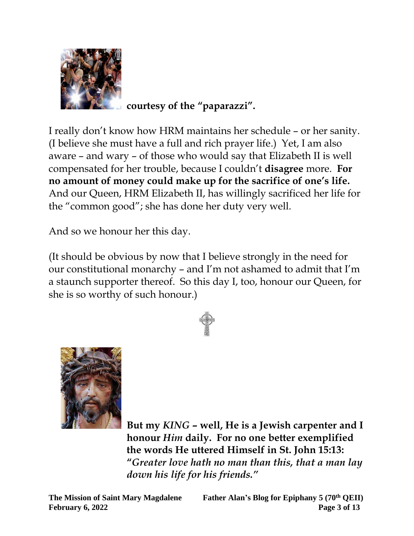

 **courtesy of the "paparazzi".**

I really don't know how HRM maintains her schedule – or her sanity. (I believe she must have a full and rich prayer life.) Yet, I am also aware – and wary – of those who would say that Elizabeth II is well compensated for her trouble, because I couldn't **disagree** more. **For no amount of money could make up for the sacrifice of one's life.** And our Queen, HRM Elizabeth II, has willingly sacrificed her life for the "common good"; she has done her duty very well.

And so we honour her this day.

(It should be obvious by now that I believe strongly in the need for our constitutional monarchy – and I'm not ashamed to admit that I'm a staunch supporter thereof. So this day I, too, honour our Queen, for she is so worthy of such honour.)





 **But my** *KING* **– well, He is a Jewish carpenter and I honour** *Him* **daily. For no one better exemplified the words He uttered Himself in St. John 15:13: "***Greater love hath no man than this, that a man lay*  *down his life for his friends."*

**The Mission of Saint Mary Magdalene Father Alan's Blog for Epiphany 5 (70th QEII) February 6, 2022** Page 3 of 13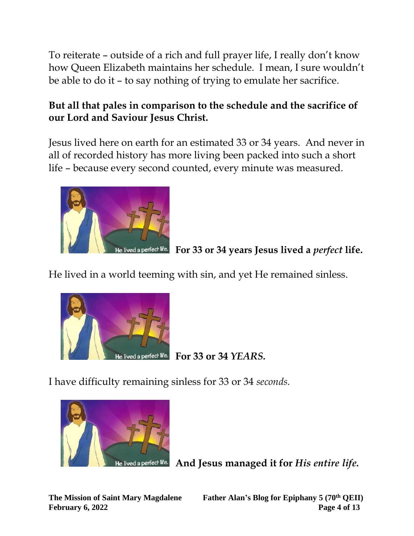To reiterate – outside of a rich and full prayer life, I really don't know how Queen Elizabeth maintains her schedule. I mean, I sure wouldn't be able to do it – to say nothing of trying to emulate her sacrifice.

#### **But all that pales in comparison to the schedule and the sacrifice of our Lord and Saviour Jesus Christ.**

Jesus lived here on earth for an estimated 33 or 34 years. And never in all of recorded history has more living been packed into such a short life – because every second counted, every minute was measured.



 **For 33 or 34 years Jesus lived a** *perfect* **life.**

He lived in a world teeming with sin, and yet He remained sinless.



 **For 33 or 34** *YEARS.*

I have difficulty remaining sinless for 33 or 34 *seconds.*



 **And Jesus managed it for** *His entire life.*

**The Mission of Saint Mary Magdalene Father Alan's Blog for Epiphany 5 (70th QEII) February 6, 2022** Page 4 of 13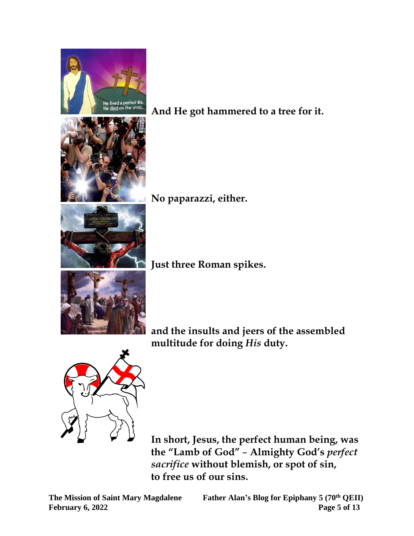

 **And He got hammered to a tree for it.**

 **No paparazzi, either.** 

 **Just three Roman spikes.**

 **and the insults and jeers of the assembled multitude for doing** *His* **duty.**



 **In short, Jesus, the perfect human being, was the "Lamb of God"** – **Almighty God's** *perfect*  *sacrifice* **without blemish, or spot of sin,** **to free us of our sins.**

The Mission of Saint Mary Magdalene Father Alan's Blog for Epiphany 5 (70<sup>th</sup> QEII)<br>February 6, 2022 Page 5 of 13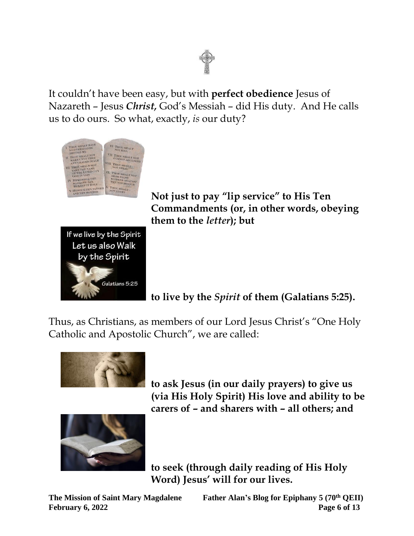

It couldn't have been easy, but with **perfect obedience** Jesus of Nazareth – Jesus *Christ,* God's Messiah – did His duty. And He calls us to do ours. So what, exactly, *is* our duty?





 **Not just to pay "lip service" to His Ten Commandments (or, in other words, obeying them to the** *letter***); but**

 **to live by the** *Spirit* **of them (Galatians 5:25).**

Thus, as Christians, as members of our Lord Jesus Christ's "One Holy Catholic and Apostolic Church", we are called:



 **to ask Jesus (in our daily prayers) to give us (via His Holy Spirit) His love and ability to be carers of – and sharers with – all others; and**



 **to seek (through daily reading of His Holy Word) Jesus' will for our lives.**

**The Mission of Saint Mary Magdalene Father Alan's Blog for Epiphany 5 (70th QEII) February 6, 2022** Page 6 of 13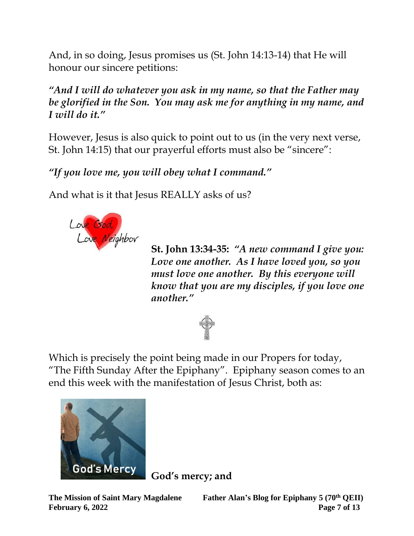And, in so doing, Jesus promises us (St. John 14:13-14) that He will honour our sincere petitions:

*"And I will do whatever you ask in my name, so that the Father may be glorified in the Son. You may ask me for anything in my name, and I will do it."*

However, Jesus is also quick to point out to us (in the very next verse, St. John 14:15) that our prayerful efforts must also be "sincere":

*"If you love me, you will obey what I command."*

And what is it that Jesus REALLY asks of us?



 **St. John 13:34-35:** *"A new command I give you:*  *Love one another. As I have loved you, so you must love one another. By this everyone will know that you are my disciples, if you love one another."*



Which is precisely the point being made in our Propers for today, "The Fifth Sunday After the Epiphany". Epiphany season comes to an end this week with the manifestation of Jesus Christ, both as:



 **God's mercy; and** 

**The Mission of Saint Mary Magdalene Father Alan's Blog for Epiphany 5 (70th QEII) February 6, 2022** Page 7 of 13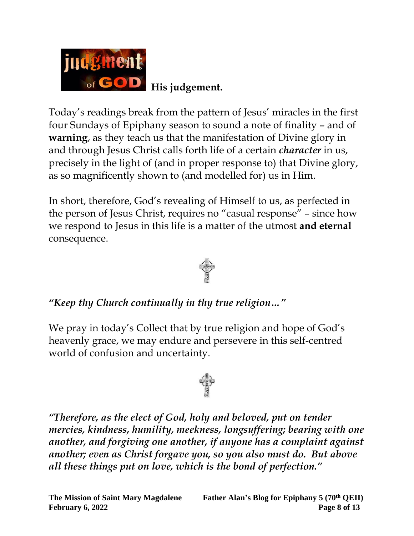

Today's readings break from the pattern of Jesus' miracles in the first four Sundays of Epiphany season to sound a note of finality – and of **warning**, as they teach us that the manifestation of Divine glory in and through Jesus Christ calls forth life of a certain *character* in us, precisely in the light of (and in proper response to) that Divine glory, as so magnificently shown to (and modelled for) us in Him.

In short, therefore, God's revealing of Himself to us, as perfected in the person of Jesus Christ, requires no "casual response" – since how we respond to Jesus in this life is a matter of the utmost **and eternal** consequence.



#### *"Keep thy Church continually in thy true religion…"*

We pray in today's Collect that by true religion and hope of God's heavenly grace, we may endure and persevere in this self-centred world of confusion and uncertainty.



*"Therefore, as the elect of God, holy and beloved, put on tender mercies, kindness, humility, meekness, longsuffering; bearing with one another, and forgiving one another, if anyone has a complaint against another; even as Christ forgave you, so you also must do. But above all these things put on love, which is the bond of perfection."*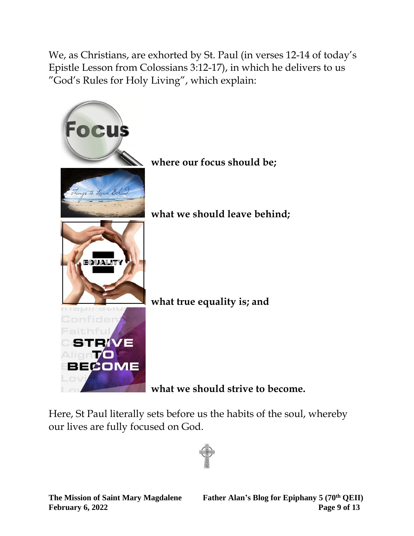We, as Christians, are exhorted by St. Paul (in verses 12-14 of today's Epistle Lesson from Colossians 3:12-17), in which he delivers to us "God's Rules for Holy Living", which explain:



Here, St Paul literally sets before us the habits of the soul, whereby our lives are fully focused on God.

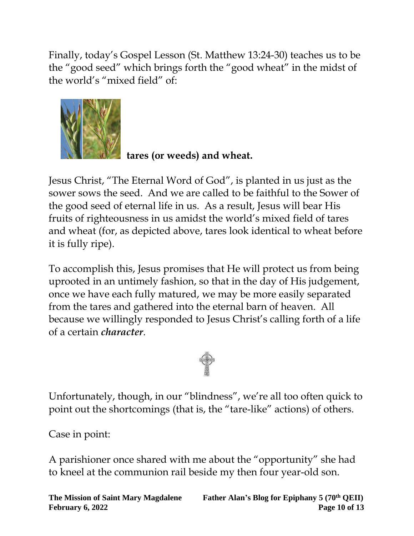Finally, today's Gospel Lesson (St. Matthew 13:24-30) teaches us to be the "good seed" which brings forth the "good wheat" in the midst of the world's "mixed field" of:



 **tares (or weeds) and wheat.**

Jesus Christ, "The Eternal Word of God", is planted in us just as the sower sows the seed. And we are called to be faithful to the Sower of the good seed of eternal life in us. As a result, Jesus will bear His fruits of righteousness in us amidst the world's mixed field of tares and wheat (for, as depicted above, tares look identical to wheat before it is fully ripe).

To accomplish this, Jesus promises that He will protect us from being uprooted in an untimely fashion, so that in the day of His judgement, once we have each fully matured, we may be more easily separated from the tares and gathered into the eternal barn of heaven. All because we willingly responded to Jesus Christ's calling forth of a life of a certain *character*.



Unfortunately, though, in our "blindness", we're all too often quick to point out the shortcomings (that is, the "tare-like" actions) of others.

Case in point:

A parishioner once shared with me about the "opportunity" she had to kneel at the communion rail beside my then four year-old son.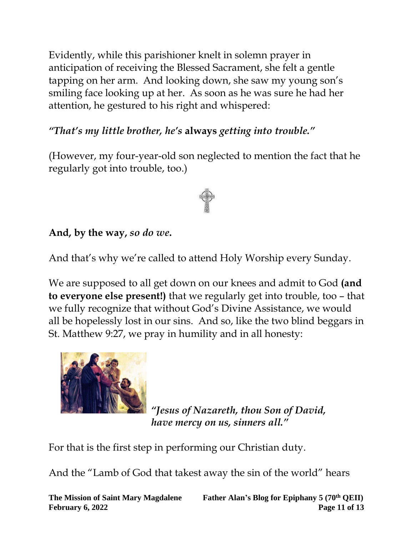Evidently, while this parishioner knelt in solemn prayer in anticipation of receiving the Blessed Sacrament, she felt a gentle tapping on her arm. And looking down, she saw my young son's smiling face looking up at her. As soon as he was sure he had her attention, he gestured to his right and whispered:

## *"That's my little brother, he's* **always** *getting into trouble."*

(However, my four-year-old son neglected to mention the fact that he regularly got into trouble, too.)

### **And, by the way,** *so do we***.**

And that's why we're called to attend Holy Worship every Sunday.

We are supposed to all get down on our knees and admit to God **(and to everyone else present!)** that we regularly get into trouble, too – that we fully recognize that without God's Divine Assistance, we would all be hopelessly lost in our sins. And so, like the two blind beggars in St. Matthew 9:27, we pray in humility and in all honesty:



 *"Jesus of Nazareth, thou Son of David, have mercy on us, sinners all."*

For that is the first step in performing our Christian duty.

And the "Lamb of God that takest away the sin of the world" hears

**The Mission of Saint Mary Magdalene Father Alan's Blog for Epiphany 5 (70th QEII) February 6, 2022 Page 11 of 13**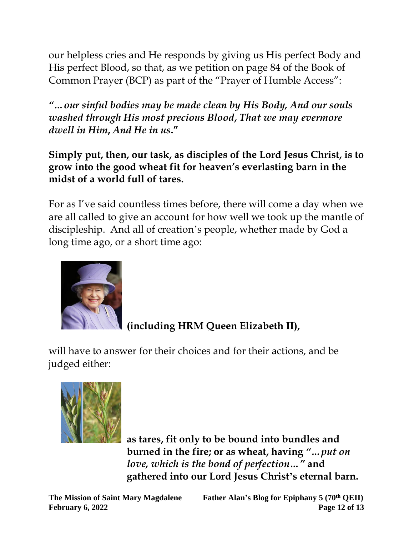our helpless cries and He responds by giving us His perfect Body and His perfect Blood, so that, as we petition on page 84 of the Book of Common Prayer (BCP) as part of the "Prayer of Humble Access":

*"…our sinful bodies may be made clean by His Body, And our souls washed through His most precious Blood***,** *That we may evermore dwell in Him***,** *And He in us***."** 

**Simply put, then, our task, as disciples of the Lord Jesus Christ, is to grow into the good wheat fit for heaven's everlasting barn in the midst of a world full of tares.**

For as I've said countless times before, there will come a day when we are all called to give an account for how well we took up the mantle of discipleship. And all of creation's people, whether made by God a long time ago, or a short time ago:



 **(including HRM Queen Elizabeth II),**

will have to answer for their choices and for their actions, and be judged either:



 **as tares, fit only to be bound into bundles and burned in the fire; or as wheat, having** *"…put on*  *love, which is the bond of perfection…"* **and**  **gathered into our Lord Jesus Christ's eternal barn.**

**The Mission of Saint Mary Magdalene Father Alan's Blog for Epiphany 5 (70th QEII) February 6, 2022 Page 12 of 13**